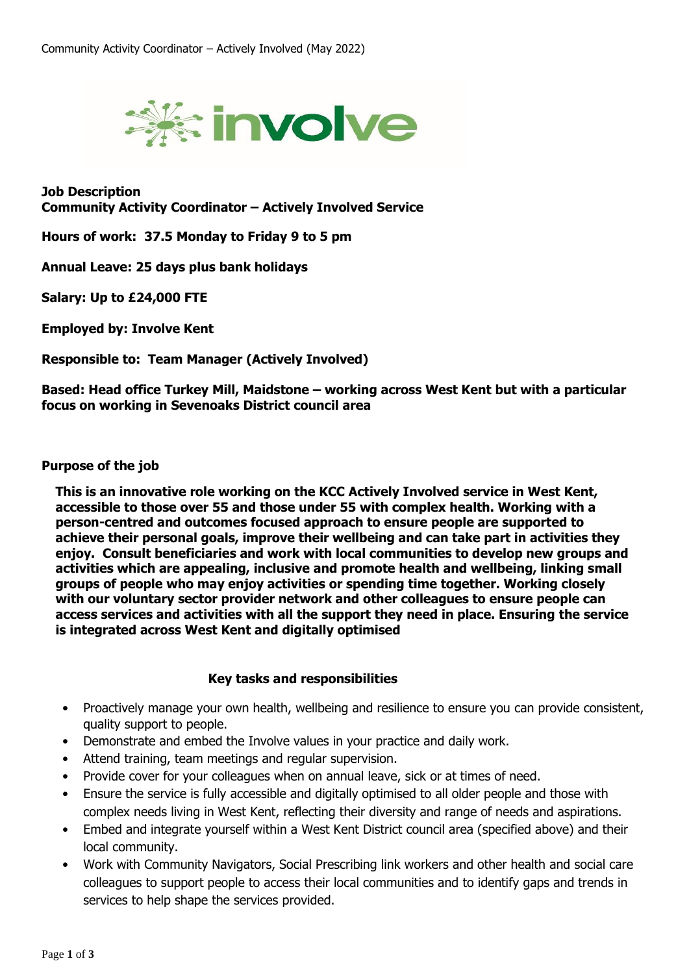

**Job Description Community Activity Coordinator – Actively Involved Service**

**Hours of work: 37.5 Monday to Friday 9 to 5 pm**

**Annual Leave: 25 days plus bank holidays**

**Salary: Up to £24,000 FTE**

**Employed by: Involve Kent**

**Responsible to: Team Manager (Actively Involved)**

**Based: Head office Turkey Mill, Maidstone – working across West Kent but with a particular focus on working in Sevenoaks District council area**

## **Purpose of the job**

**This is an innovative role working on the KCC Actively Involved service in West Kent, accessible to those over 55 and those under 55 with complex health. Working with a person-centred and outcomes focused approach to ensure people are supported to achieve their personal goals, improve their wellbeing and can take part in activities they enjoy. Consult beneficiaries and work with local communities to develop new groups and activities which are appealing, inclusive and promote health and wellbeing, linking small groups of people who may enjoy activities or spending time together. Working closely with our voluntary sector provider network and other colleagues to ensure people can access services and activities with all the support they need in place. Ensuring the service is integrated across West Kent and digitally optimised**

## **Key tasks and responsibilities**

- Proactively manage your own health, wellbeing and resilience to ensure you can provide consistent, quality support to people.
- Demonstrate and embed the Involve values in your practice and daily work.
- Attend training, team meetings and regular supervision.
- Provide cover for your colleagues when on annual leave, sick or at times of need.
- Ensure the service is fully accessible and digitally optimised to all older people and those with complex needs living in West Kent, reflecting their diversity and range of needs and aspirations.
- Embed and integrate yourself within a West Kent District council area (specified above) and their local community.
- Work with Community Navigators, Social Prescribing link workers and other health and social care colleagues to support people to access their local communities and to identify gaps and trends in services to help shape the services provided.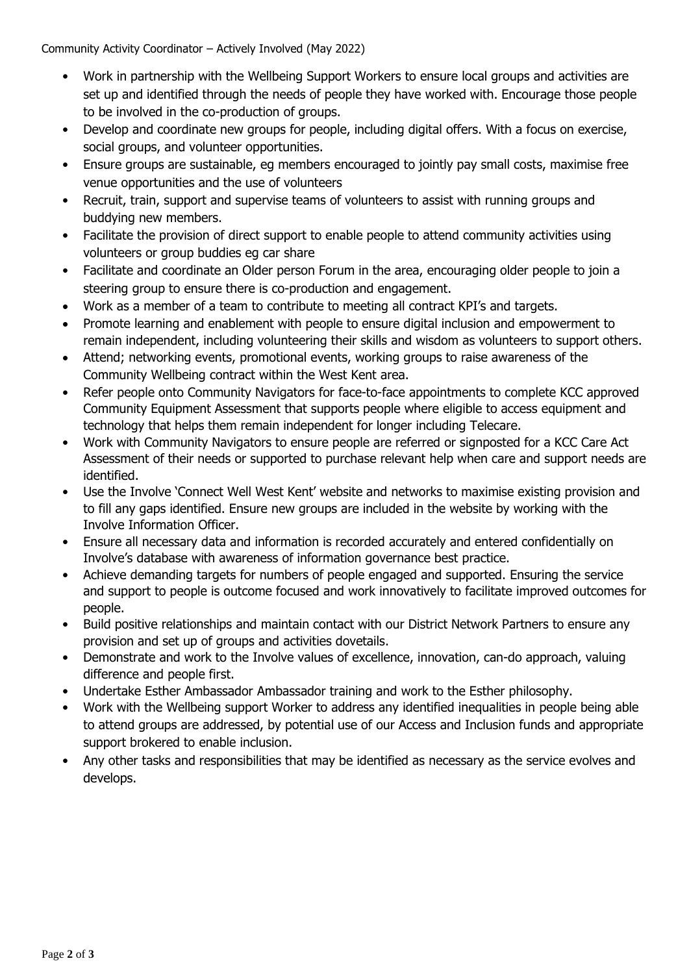Community Activity Coordinator – Actively Involved (May 2022)

- Work in partnership with the Wellbeing Support Workers to ensure local groups and activities are set up and identified through the needs of people they have worked with. Encourage those people to be involved in the co-production of groups.
- Develop and coordinate new groups for people, including digital offers. With a focus on exercise, social groups, and volunteer opportunities.
- Ensure groups are sustainable, eg members encouraged to jointly pay small costs, maximise free venue opportunities and the use of volunteers
- Recruit, train, support and supervise teams of volunteers to assist with running groups and buddying new members.
- Facilitate the provision of direct support to enable people to attend community activities using volunteers or group buddies eg car share
- Facilitate and coordinate an Older person Forum in the area, encouraging older people to join a steering group to ensure there is co-production and engagement.
- Work as a member of a team to contribute to meeting all contract KPI's and targets.
- Promote learning and enablement with people to ensure digital inclusion and empowerment to remain independent, including volunteering their skills and wisdom as volunteers to support others.
- Attend; networking events, promotional events, working groups to raise awareness of the Community Wellbeing contract within the West Kent area.
- Refer people onto Community Navigators for face-to-face appointments to complete KCC approved Community Equipment Assessment that supports people where eligible to access equipment and technology that helps them remain independent for longer including Telecare.
- Work with Community Navigators to ensure people are referred or signposted for a KCC Care Act Assessment of their needs or supported to purchase relevant help when care and support needs are identified.
- Use the Involve 'Connect Well West Kent' website and networks to maximise existing provision and to fill any gaps identified. Ensure new groups are included in the website by working with the Involve Information Officer.
- Ensure all necessary data and information is recorded accurately and entered confidentially on Involve's database with awareness of information governance best practice.
- Achieve demanding targets for numbers of people engaged and supported. Ensuring the service and support to people is outcome focused and work innovatively to facilitate improved outcomes for people.
- Build positive relationships and maintain contact with our District Network Partners to ensure any provision and set up of groups and activities dovetails.
- Demonstrate and work to the Involve values of excellence, innovation, can-do approach, valuing difference and people first.
- Undertake Esther Ambassador Ambassador training and work to the Esther philosophy.
- Work with the Wellbeing support Worker to address any identified inequalities in people being able to attend groups are addressed, by potential use of our Access and Inclusion funds and appropriate support brokered to enable inclusion.
- Any other tasks and responsibilities that may be identified as necessary as the service evolves and develops.